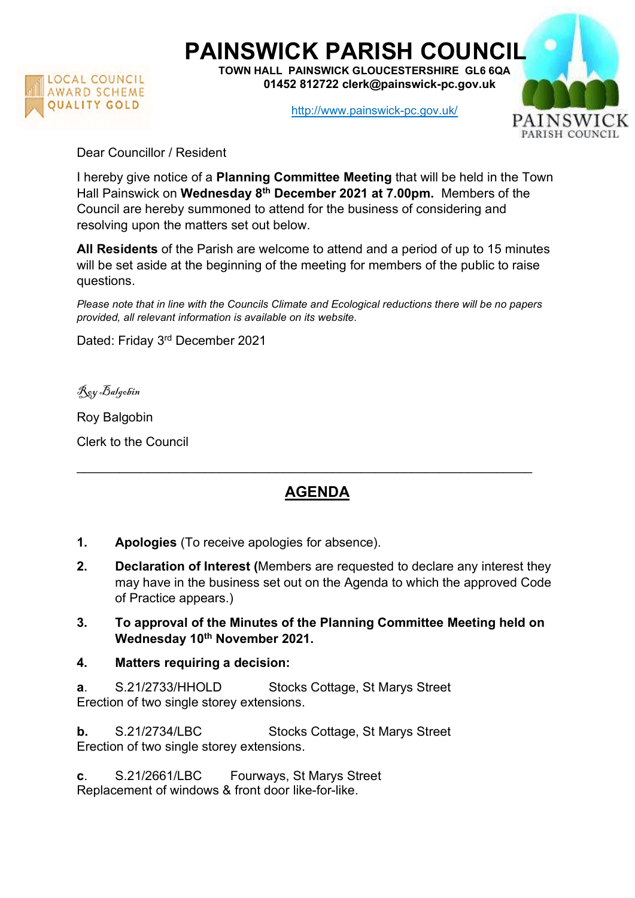

## PAINSWICK PARISH COUNCIL

TOWN HALL PAINSWICK GLOUCESTERSHIRE GL6 6QA 01452 812722 clerk@painswick-pc.gov.uk

http://www.painswick-pc.gov.uk/



Dear Councillor / Resident

I hereby give notice of a Planning Committee Meeting that will be held in the Town Hall Painswick on Wednesday 8<sup>th</sup> December 2021 at 7.00pm. Members of the Council are hereby summoned to attend for the business of considering and resolving upon the matters set out below.

All Residents of the Parish are welcome to attend and a period of up to 15 minutes will be set aside at the beginning of the meeting for members of the public to raise questions.

Please note that in line with the Councils Climate and Ecological reductions there will be no papers provided, all relevant information is available on its website.

Dated: Friday 3rd December 2021

Roy Balgobin

Roy Balgobin Clerk to the Council

## AGENDA

\_\_\_\_\_\_\_\_\_\_\_\_\_\_\_\_\_\_\_\_\_\_\_\_\_\_\_\_\_\_\_\_\_\_\_\_\_\_\_\_\_\_\_\_\_\_\_\_\_\_\_\_\_\_\_\_\_\_\_\_\_\_\_\_

- 1. Apologies (To receive apologies for absence).
- 2. Declaration of Interest (Members are requested to declare any interest they may have in the business set out on the Agenda to which the approved Code of Practice appears.)
- 3. To approval of the Minutes of the Planning Committee Meeting held on Wednesday 10<sup>th</sup> November 2021.
- 4. Matters requiring a decision:

a. S.21/2733/HHOLD Stocks Cottage, St Marys Street Erection of two single storey extensions.

**b.** S.21/2734/LBC Stocks Cottage, St Marys Street Erection of two single storey extensions.

c. S.21/2661/LBC Fourways, St Marys Street Replacement of windows & front door like-for-like.